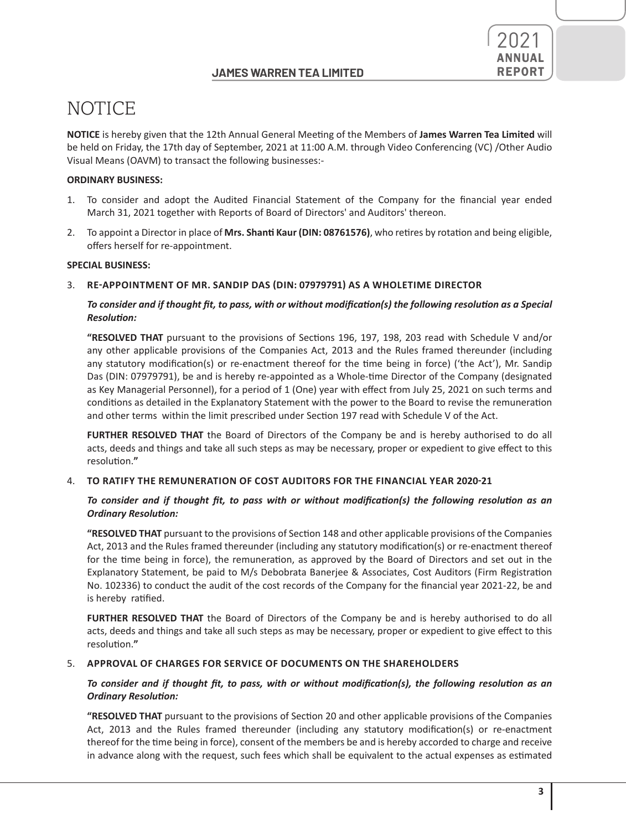

**NOTICE** is hereby given that the 12th Annual General Meeting of the Members of **James Warren Tea Limited** will be held on Friday, the 17th day of September, 2021 at 11:00 A.M. through Video Conferencing (VC) /Other Audio Visual Means (OAVM) to transact the following businesses:-

### **ORDINARY BUSINESS:**

- 1. To consider and adopt the Audited Financial Statement of the Company for the financial year ended March 31, 2021 together with Reports of Board of Directors' and Auditors' thereon.
- 2. To appoint a Director in place of **Mrs. Shanti Kaur (DIN: 08761576)**, who retires by rotation and being eligible, offers herself for re-appointment.

#### **SPECIAL BUSINESS:**

### 3. **RE-APPOINTMENT OF MR. SANDIP DAS (DIN: 07979791) AS A WHOLETIME DIRECTOR**

### To consider and if thought fit, to pass, with or without modification(s) the following resolution as a Special *Resolution:*

**"RESOLVED THAT** pursuant to the provisions of Sections 196, 197, 198, 203 read with Schedule V and/or any other applicable provisions of the Companies Act, 2013 and the Rules framed thereunder (including any statutory modification(s) or re-enactment thereof for the time being in force) ('the Act'), Mr. Sandip Das (DIN: 07979791), be and is hereby re-appointed as a Whole-time Director of the Company (designated as Key Managerial Personnel), for a period of 1 (One) year with effect from July 25, 2021 on such terms and conditions as detailed in the Explanatory Statement with the power to the Board to revise the remuneration and other terms within the limit prescribed under Section 197 read with Schedule V of the Act.

**FURTHER RESOLVED THAT** the Board of Directors of the Company be and is hereby authorised to do all acts, deeds and things and take all such steps as may be necessary, proper or expedient to give effect to this resolution.**"**

#### 4. **TO RATIFY THE REMUNERATION OF COST AUDITORS FOR THE FINANCIAL YEAR 2020-21**

### *To consider and if thought fit, to pass with or without modification(s) the following resolution as an Ordinary Resolution:*

**"RESOLVED THAT** pursuant to the provisions of Section 148 and other applicable provisions of the Companies Act, 2013 and the Rules framed thereunder (including any statutory modification(s) or re-enactment thereof for the time being in force), the remuneration, as approved by the Board of Directors and set out in the Explanatory Statement, be paid to M/s Debobrata Banerjee & Associates, Cost Auditors (Firm Registration No. 102336) to conduct the audit of the cost records of the Company for the financial year 2021-22, be and is hereby ratified.

**FURTHER RESOLVED THAT** the Board of Directors of the Company be and is hereby authorised to do all acts, deeds and things and take all such steps as may be necessary, proper or expedient to give effect to this resolution.**"**

#### 5. **APPROVAL OF CHARGES FOR SERVICE OF DOCUMENTS ON THE SHAREHOLDERS**

### To consider and if thought fit, to pass, with or without modification(s), the following resolution as an *Ordinary Resolution:*

**"RESOLVED THAT** pursuant to the provisions of Section 20 and other applicable provisions of the Companies Act, 2013 and the Rules framed thereunder (including any statutory modification(s) or re-enactment thereof for the time being in force), consent of the members be and is hereby accorded to charge and receive in advance along with the request, such fees which shall be equivalent to the actual expenses as estimated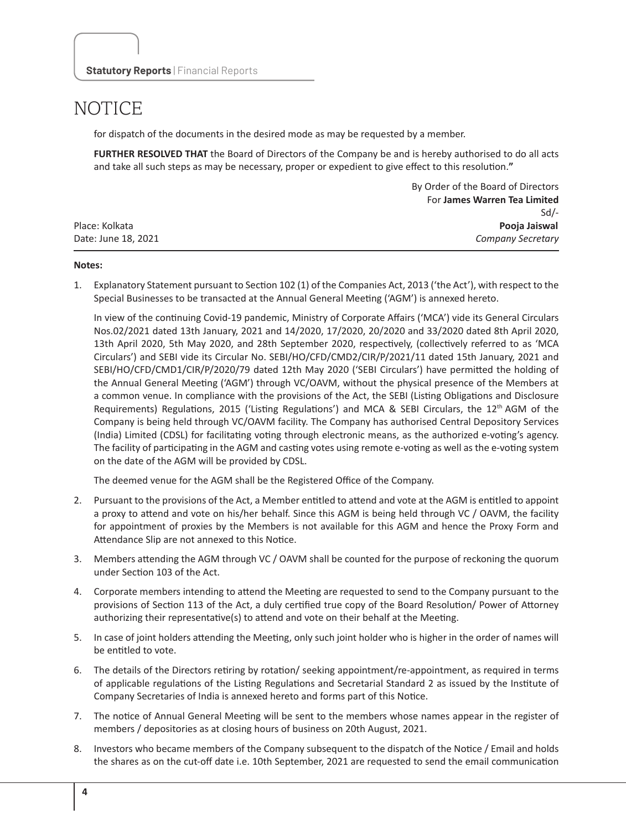for dispatch of the documents in the desired mode as may be requested by a member.

**FURTHER RESOLVED THAT** the Board of Directors of the Company be and is hereby authorised to do all acts and take all such steps as may be necessary, proper or expedient to give effect to this resolution.**"**

|                     | By Order of the Board of Directors |
|---------------------|------------------------------------|
|                     | For James Warren Tea Limited       |
|                     | $Sd$ -                             |
| Place: Kolkata      | Pooja Jaiswal                      |
| Date: June 18, 2021 | <b>Company Secretary</b>           |

#### **Notes:**

1. Explanatory Statement pursuant to Section 102 (1) of the Companies Act, 2013 ('the Act'), with respect to the Special Businesses to be transacted at the Annual General Meeting ('AGM') is annexed hereto.

In view of the continuing Covid-19 pandemic, Ministry of Corporate Affairs ('MCA') vide its General Circulars Nos.02/2021 dated 13th January, 2021 and 14/2020, 17/2020, 20/2020 and 33/2020 dated 8th April 2020, 13th April 2020, 5th May 2020, and 28th September 2020, respectively, (collectively referred to as 'MCA Circulars') and SEBI vide its Circular No. SEBI/HO/CFD/CMD2/CIR/P/2021/11 dated 15th January, 2021 and SEBI/HO/CFD/CMD1/CIR/P/2020/79 dated 12th May 2020 ('SEBI Circulars') have permitted the holding of the Annual General Meeting ('AGM') through VC/OAVM, without the physical presence of the Members at a common venue. In compliance with the provisions of the Act, the SEBI (Listing Obligations and Disclosure Requirements) Regulations, 2015 ('Listing Regulations') and MCA & SEBI Circulars, the 12<sup>th</sup> AGM of the Company is being held through VC/OAVM facility. The Company has authorised Central Depository Services (India) Limited (CDSL) for facilitating voting through electronic means, as the authorized e-voting's agency. The facility of participating in the AGM and casting votes using remote e-voting as well as the e-voting system on the date of the AGM will be provided by CDSL.

The deemed venue for the AGM shall be the Registered Office of the Company.

- 2. Pursuant to the provisions of the Act, a Member entitled to attend and vote at the AGM is entitled to appoint a proxy to attend and vote on his/her behalf. Since this AGM is being held through VC / OAVM, the facility for appointment of proxies by the Members is not available for this AGM and hence the Proxy Form and Attendance Slip are not annexed to this Notice.
- 3. Members attending the AGM through VC / OAVM shall be counted for the purpose of reckoning the quorum under Section 103 of the Act.
- 4. Corporate members intending to attend the Meeting are requested to send to the Company pursuant to the provisions of Section 113 of the Act, a duly certified true copy of the Board Resolution/ Power of Attorney authorizing their representative(s) to attend and vote on their behalf at the Meeting.
- 5. In case of joint holders attending the Meeting, only such joint holder who is higher in the order of names will be entitled to vote.
- 6. The details of the Directors retiring by rotation/ seeking appointment/re-appointment, as required in terms of applicable regulations of the Listing Regulations and Secretarial Standard 2 as issued by the Institute of Company Secretaries of India is annexed hereto and forms part of this Notice.
- 7. The notice of Annual General Meeting will be sent to the members whose names appear in the register of members / depositories as at closing hours of business on 20th August, 2021.
- 8. Investors who became members of the Company subsequent to the dispatch of the Notice / Email and holds the shares as on the cut-off date i.e. 10th September, 2021 are requested to send the email communication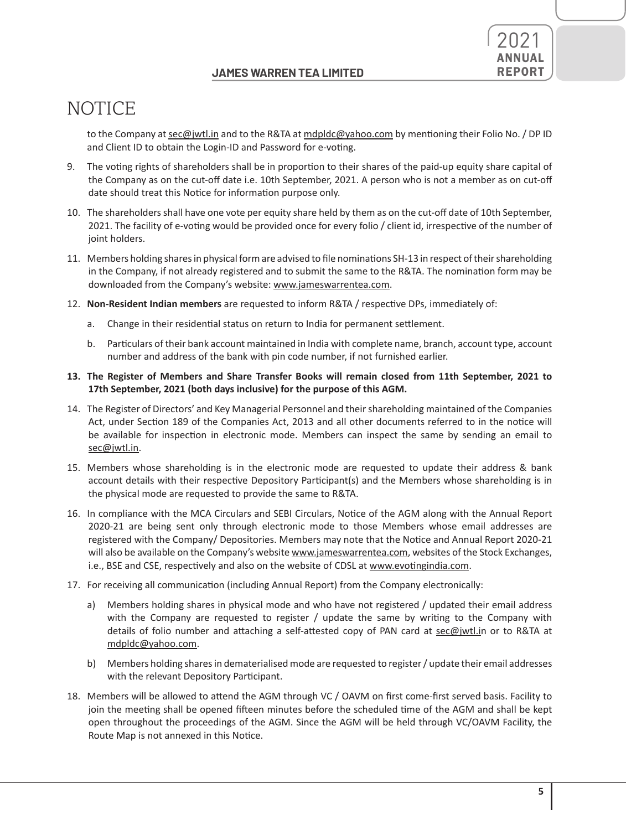

to the Company at sec@jwtl.in and to the R&TA at mdpldc@yahoo.com by mentioning their Folio No. / DP ID and Client ID to obtain the Login-ID and Password for e-voting.

- 9. The voting rights of shareholders shall be in proportion to their shares of the paid-up equity share capital of the Company as on the cut-off date i.e. 10th September, 2021. A person who is not a member as on cut-off date should treat this Notice for information purpose only.
- 10. The shareholders shall have one vote per equity share held by them as on the cut-off date of 10th September, 2021. The facility of e-voting would be provided once for every folio / client id, irrespective of the number of joint holders.
- 11. Members holding shares in physical form are advised to file nominations SH-13 in respect of their shareholding in the Company, if not already registered and to submit the same to the R&TA. The nomination form may be downloaded from the Company's website: www.jameswarrentea.com.
- 12. **Non-Resident Indian members** are requested to inform R&TA / respective DPs, immediately of:
	- a. Change in their residential status on return to India for permanent settlement.
	- b. Particulars of their bank account maintained in India with complete name, branch, account type, account number and address of the bank with pin code number, if not furnished earlier.
- **13. The Register of Members and Share Transfer Books will remain closed from 11th September, 2021 to 17th September, 2021 (both days inclusive) for the purpose of this AGM.**
- 14. The Register of Directors' and Key Managerial Personnel and their shareholding maintained of the Companies Act, under Section 189 of the Companies Act, 2013 and all other documents referred to in the notice will be available for inspection in electronic mode. Members can inspect the same by sending an email to sec@jwtl.in.
- 15. Members whose shareholding is in the electronic mode are requested to update their address & bank account details with their respective Depository Participant(s) and the Members whose shareholding is in the physical mode are requested to provide the same to R&TA.
- 16. In compliance with the MCA Circulars and SEBI Circulars, Notice of the AGM along with the Annual Report 2020-21 are being sent only through electronic mode to those Members whose email addresses are registered with the Company/ Depositories. Members may note that the Notice and Annual Report 2020-21 will also be available on the Company's website www.jameswarrentea.com, websites of the Stock Exchanges, i.e., BSE and CSE, respectively and also on the website of CDSL at www.evotingindia.com.
- 17. For receiving all communication (including Annual Report) from the Company electronically:
	- a) Members holding shares in physical mode and who have not registered / updated their email address with the Company are requested to register / update the same by writing to the Company with details of folio number and attaching a self-attested copy of PAN card at sec@jwtl.in or to R&TA at mdpldc@yahoo.com.
	- b) Members holding shares in dematerialised mode are requested to register / update their email addresses with the relevant Depository Participant.
- 18. Members will be allowed to attend the AGM through VC / OAVM on first come-first served basis. Facility to join the meeting shall be opened fifteen minutes before the scheduled time of the AGM and shall be kept open throughout the proceedings of the AGM. Since the AGM will be held through VC/OAVM Facility, the Route Map is not annexed in this Notice.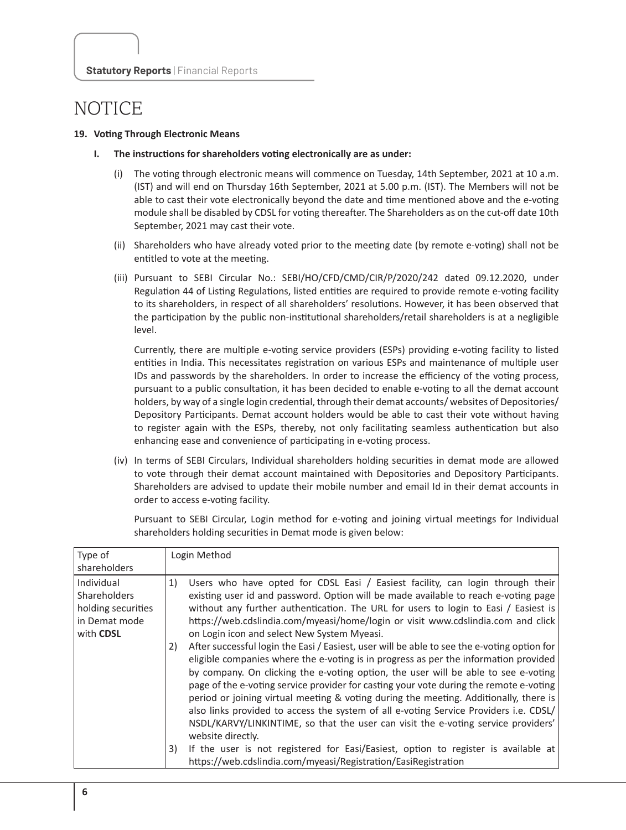#### **19. Voting Through Electronic Means**

- **I. The instructions for shareholders voting electronically are as under:**
	- The voting through electronic means will commence on Tuesday, 14th September, 2021 at 10 a.m. (IST) and will end on Thursday 16th September, 2021 at 5.00 p.m. (IST). The Members will not be able to cast their vote electronically beyond the date and time mentioned above and the e-voting module shall be disabled by CDSL for voting thereafter. The Shareholders as on the cut-off date 10th September, 2021 may cast their vote.
	- (ii) Shareholders who have already voted prior to the meeting date (by remote e-voting) shall not be entitled to vote at the meeting.
	- (iii) Pursuant to SEBI Circular No.: SEBI/HO/CFD/CMD/CIR/P/2020/242 dated 09.12.2020, under Regulation 44 of Listing Regulations, listed entities are required to provide remote e-voting facility to its shareholders, in respect of all shareholders' resolutions. However, it has been observed that the participation by the public non-institutional shareholders/retail shareholders is at a negligible level.

Currently, there are multiple e-voting service providers (ESPs) providing e-voting facility to listed entities in India. This necessitates registration on various ESPs and maintenance of multiple user IDs and passwords by the shareholders. In order to increase the efficiency of the voting process, pursuant to a public consultation, it has been decided to enable e-voting to all the demat account holders, by way of a single login credential, through their demat accounts/ websites of Depositories/ Depository Participants. Demat account holders would be able to cast their vote without having to register again with the ESPs, thereby, not only facilitating seamless authentication but also enhancing ease and convenience of participating in e-voting process.

(iv) In terms of SEBI Circulars, Individual shareholders holding securities in demat mode are allowed to vote through their demat account maintained with Depositories and Depository Participants. Shareholders are advised to update their mobile number and email Id in their demat accounts in order to access e-voting facility.

Pursuant to SEBI Circular, Login method for e-voting and joining virtual meetings for Individual shareholders holding securities in Demat mode is given below:

| Type of<br>shareholders                                                               | Login Method                                                                                                                                                                                                                                                                                                                                                                                                                                                                                                                                                                                                                                                                                                                                                                                                                                                                                                                                                                                                                                                                   |
|---------------------------------------------------------------------------------------|--------------------------------------------------------------------------------------------------------------------------------------------------------------------------------------------------------------------------------------------------------------------------------------------------------------------------------------------------------------------------------------------------------------------------------------------------------------------------------------------------------------------------------------------------------------------------------------------------------------------------------------------------------------------------------------------------------------------------------------------------------------------------------------------------------------------------------------------------------------------------------------------------------------------------------------------------------------------------------------------------------------------------------------------------------------------------------|
| Individual<br><b>Shareholders</b><br>holding securities<br>in Demat mode<br>with CDSL | Users who have opted for CDSL Easi / Easiest facility, can login through their<br>1)<br>existing user id and password. Option will be made available to reach e-voting page<br>without any further authentication. The URL for users to login to Easi / Easiest is<br>https://web.cdslindia.com/myeasi/home/login or visit www.cdslindia.com and click<br>on Login icon and select New System Myeasi.<br>After successful login the Easi / Easiest, user will be able to see the e-voting option for<br>2)<br>eligible companies where the e-voting is in progress as per the information provided<br>by company. On clicking the e-voting option, the user will be able to see e-voting<br>page of the e-voting service provider for casting your vote during the remote e-voting<br>period or joining virtual meeting & voting during the meeting. Additionally, there is<br>also links provided to access the system of all e-voting Service Providers i.e. CDSL/<br>NSDL/KARVY/LINKINTIME, so that the user can visit the e-voting service providers'<br>website directly. |
|                                                                                       | If the user is not registered for Easi/Easiest, option to register is available at<br>3)<br>https://web.cdslindia.com/myeasi/Registration/EasiRegistration                                                                                                                                                                                                                                                                                                                                                                                                                                                                                                                                                                                                                                                                                                                                                                                                                                                                                                                     |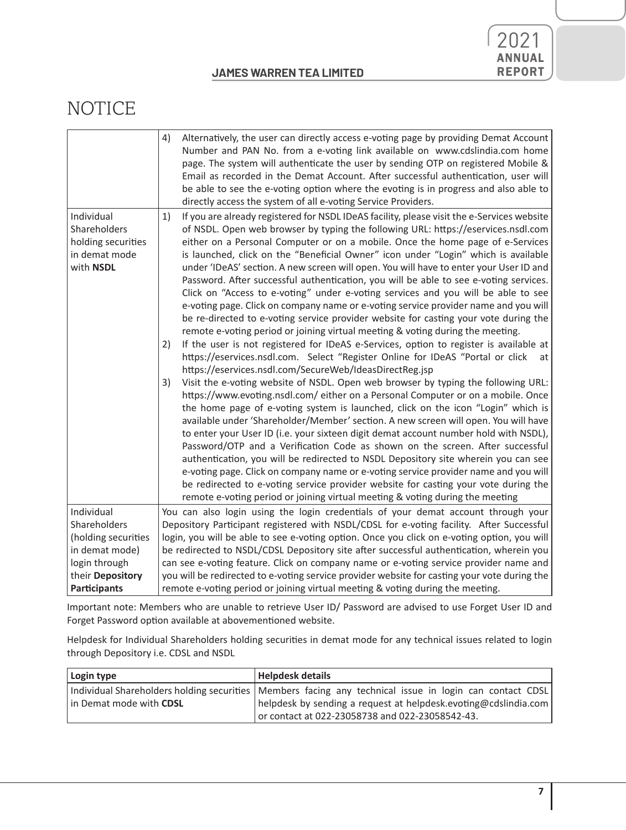

|                                       | 4)<br>Alternatively, the user can directly access e-voting page by providing Demat Account<br>Number and PAN No. from a e-voting link available on www.cdslindia.com home<br>page. The system will authenticate the user by sending OTP on registered Mobile &<br>Email as recorded in the Demat Account. After successful authentication, user will<br>be able to see the e-voting option where the evoting is in progress and also able to<br>directly access the system of all e-voting Service Providers. |  |
|---------------------------------------|---------------------------------------------------------------------------------------------------------------------------------------------------------------------------------------------------------------------------------------------------------------------------------------------------------------------------------------------------------------------------------------------------------------------------------------------------------------------------------------------------------------|--|
| Individual                            | If you are already registered for NSDL IDeAS facility, please visit the e-Services website<br>1)                                                                                                                                                                                                                                                                                                                                                                                                              |  |
| Shareholders                          | of NSDL. Open web browser by typing the following URL: https://eservices.nsdl.com                                                                                                                                                                                                                                                                                                                                                                                                                             |  |
| holding securities                    | either on a Personal Computer or on a mobile. Once the home page of e-Services                                                                                                                                                                                                                                                                                                                                                                                                                                |  |
| in demat mode                         | is launched, click on the "Beneficial Owner" icon under "Login" which is available                                                                                                                                                                                                                                                                                                                                                                                                                            |  |
| with NSDL                             | under 'IDeAS' section. A new screen will open. You will have to enter your User ID and                                                                                                                                                                                                                                                                                                                                                                                                                        |  |
|                                       | Password. After successful authentication, you will be able to see e-voting services.                                                                                                                                                                                                                                                                                                                                                                                                                         |  |
|                                       | Click on "Access to e-voting" under e-voting services and you will be able to see                                                                                                                                                                                                                                                                                                                                                                                                                             |  |
|                                       | e-voting page. Click on company name or e-voting service provider name and you will                                                                                                                                                                                                                                                                                                                                                                                                                           |  |
|                                       | be re-directed to e-voting service provider website for casting your vote during the                                                                                                                                                                                                                                                                                                                                                                                                                          |  |
|                                       | remote e-voting period or joining virtual meeting & voting during the meeting.                                                                                                                                                                                                                                                                                                                                                                                                                                |  |
|                                       | If the user is not registered for IDeAS e-Services, option to register is available at<br>2)<br>https://eservices.nsdl.com. Select "Register Online for IDeAS "Portal or click                                                                                                                                                                                                                                                                                                                                |  |
|                                       | at<br>https://eservices.nsdl.com/SecureWeb/IdeasDirectReg.jsp                                                                                                                                                                                                                                                                                                                                                                                                                                                 |  |
|                                       | Visit the e-voting website of NSDL. Open web browser by typing the following URL:<br>3)                                                                                                                                                                                                                                                                                                                                                                                                                       |  |
|                                       | https://www.evoting.nsdl.com/ either on a Personal Computer or on a mobile. Once                                                                                                                                                                                                                                                                                                                                                                                                                              |  |
|                                       | the home page of e-voting system is launched, click on the icon "Login" which is                                                                                                                                                                                                                                                                                                                                                                                                                              |  |
|                                       | available under 'Shareholder/Member' section. A new screen will open. You will have                                                                                                                                                                                                                                                                                                                                                                                                                           |  |
|                                       | to enter your User ID (i.e. your sixteen digit demat account number hold with NSDL),                                                                                                                                                                                                                                                                                                                                                                                                                          |  |
|                                       | Password/OTP and a Verification Code as shown on the screen. After successful                                                                                                                                                                                                                                                                                                                                                                                                                                 |  |
|                                       | authentication, you will be redirected to NSDL Depository site wherein you can see                                                                                                                                                                                                                                                                                                                                                                                                                            |  |
|                                       | e-voting page. Click on company name or e-voting service provider name and you will                                                                                                                                                                                                                                                                                                                                                                                                                           |  |
|                                       | be redirected to e-voting service provider website for casting your vote during the                                                                                                                                                                                                                                                                                                                                                                                                                           |  |
|                                       | remote e-voting period or joining virtual meeting & voting during the meeting                                                                                                                                                                                                                                                                                                                                                                                                                                 |  |
| Individual                            | You can also login using the login credentials of your demat account through your                                                                                                                                                                                                                                                                                                                                                                                                                             |  |
| Shareholders                          | Depository Participant registered with NSDL/CDSL for e-voting facility. After Successful                                                                                                                                                                                                                                                                                                                                                                                                                      |  |
| (holding securities<br>in demat mode) | login, you will be able to see e-voting option. Once you click on e-voting option, you will                                                                                                                                                                                                                                                                                                                                                                                                                   |  |
| login through                         | be redirected to NSDL/CDSL Depository site after successful authentication, wherein you<br>can see e-voting feature. Click on company name or e-voting service provider name and                                                                                                                                                                                                                                                                                                                              |  |
| their Depository                      | you will be redirected to e-voting service provider website for casting your vote during the                                                                                                                                                                                                                                                                                                                                                                                                                  |  |
| <b>Participants</b>                   | remote e-voting period or joining virtual meeting & voting during the meeting.                                                                                                                                                                                                                                                                                                                                                                                                                                |  |
|                                       |                                                                                                                                                                                                                                                                                                                                                                                                                                                                                                               |  |

Important note: Members who are unable to retrieve User ID/ Password are advised to use Forget User ID and Forget Password option available at abovementioned website.

Helpdesk for Individual Shareholders holding securities in demat mode for any technical issues related to login through Depository i.e. CDSL and NSDL

| Login type              | <b>Helpdesk details</b>                                                                                   |  |
|-------------------------|-----------------------------------------------------------------------------------------------------------|--|
|                         | Individual Shareholders holding securities   Members facing any technical issue in login can contact CDSL |  |
| in Demat mode with CDSL | helpdesk by sending a request at helpdesk evoting@cdslindia.com                                           |  |
|                         | or contact at 022-23058738 and 022-23058542-43.                                                           |  |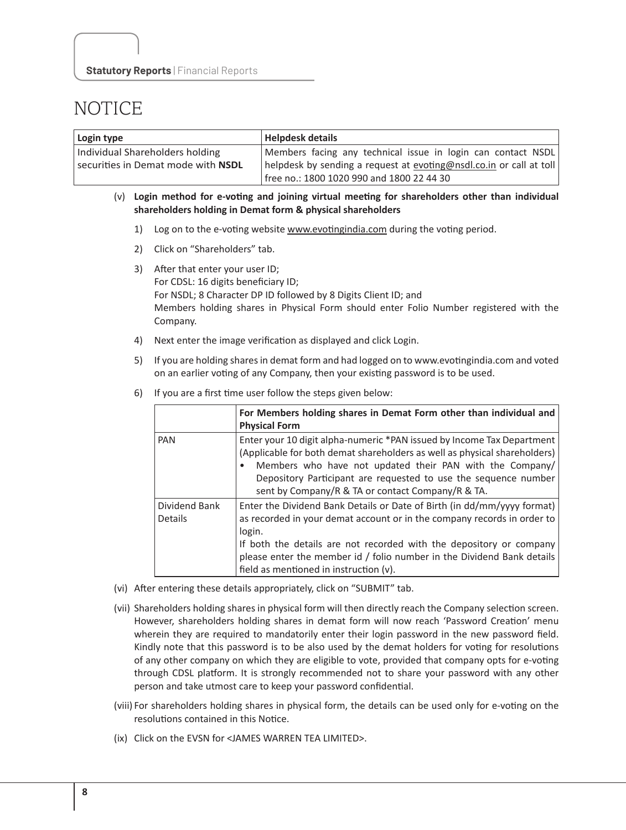| Login type                         | <b>Helpdesk details</b>                                             |  |
|------------------------------------|---------------------------------------------------------------------|--|
| Individual Shareholders holding    | Members facing any technical issue in login can contact NSDL        |  |
| securities in Demat mode with NSDL | helpdesk by sending a request at evoting@nsdl.co.in or call at toll |  |
|                                    | free no.: 1800 1020 990 and 1800 22 44 30                           |  |

#### (v) **Login method for e-voting and joining virtual meeting for shareholders other than individual shareholders holding in Demat form & physical shareholders**

- 1) Log on to the e-voting website www.evotingindia.com during the voting period.
- 2) Click on "Shareholders" tab.
- 3) After that enter your user ID; For CDSL: 16 digits beneficiary ID; For NSDL; 8 Character DP ID followed by 8 Digits Client ID; and Members holding shares in Physical Form should enter Folio Number registered with the Company.
- 4) Next enter the image verification as displayed and click Login.
- 5) If you are holding shares in demat form and had logged on to www.evotingindia.com and voted on an earlier voting of any Company, then your existing password is to be used.
- 6) If you are a first time user follow the steps given below:

|                                 | For Members holding shares in Demat Form other than individual and<br><b>Physical Form</b>                                                                                                                                                                                                                                                              |
|---------------------------------|---------------------------------------------------------------------------------------------------------------------------------------------------------------------------------------------------------------------------------------------------------------------------------------------------------------------------------------------------------|
| PAN                             | Enter your 10 digit alpha-numeric *PAN issued by Income Tax Department<br>(Applicable for both demat shareholders as well as physical shareholders)<br>Members who have not updated their PAN with the Company/<br>$\bullet$<br>Depository Participant are requested to use the sequence number<br>sent by Company/R & TA or contact Company/R & TA.    |
| Dividend Bank<br><b>Details</b> | Enter the Dividend Bank Details or Date of Birth (in dd/mm/yyyy format)<br>as recorded in your demat account or in the company records in order to<br>login.<br>If both the details are not recorded with the depository or company<br>please enter the member id / folio number in the Dividend Bank details<br>field as mentioned in instruction (v). |

- (vi) After entering these details appropriately, click on "SUBMIT" tab.
- (vii) Shareholders holding shares in physical form will then directly reach the Company selection screen. However, shareholders holding shares in demat form will now reach 'Password Creation' menu wherein they are required to mandatorily enter their login password in the new password field. Kindly note that this password is to be also used by the demat holders for voting for resolutions of any other company on which they are eligible to vote, provided that company opts for e-voting through CDSL platform. It is strongly recommended not to share your password with any other person and take utmost care to keep your password confidential.
- (viii) For shareholders holding shares in physical form, the details can be used only for e-voting on the resolutions contained in this Notice.
- (ix) Click on the EVSN for <JAMES WARREN TEA LIMITED>.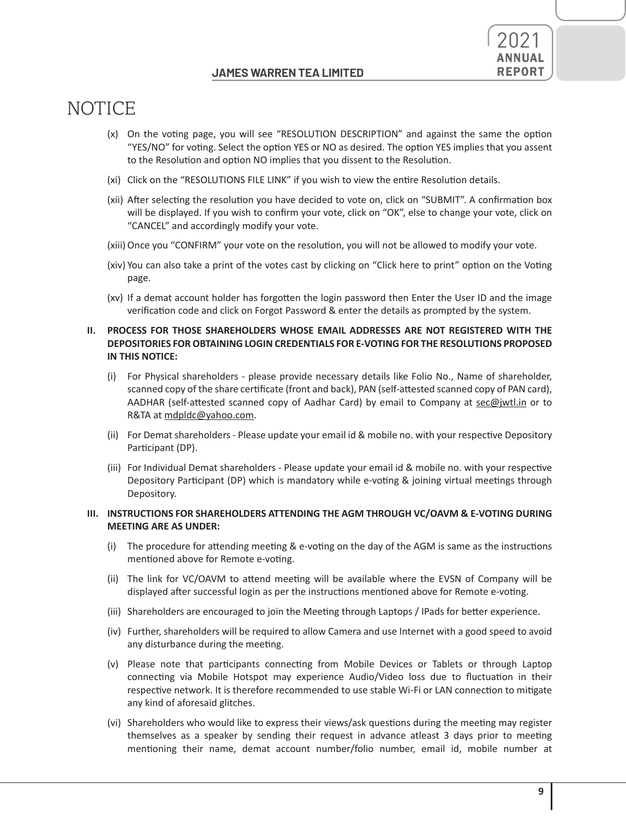

- (x) On the voting page, you will see "RESOLUTION DESCRIPTION" and against the same the option "YES/NO" for voting. Select the option YES or NO as desired. The option YES implies that you assent to the Resolution and option NO implies that you dissent to the Resolution.
- (xi) Click on the "RESOLUTIONS FILE LINK" if you wish to view the entire Resolution details.
- (xii) After selecting the resolution you have decided to vote on, click on "SUBMIT". A confirmation box will be displayed. If you wish to confirm your vote, click on "OK", else to change your vote, click on "CANCEL" and accordingly modify your vote.
- (xiii) Once you "CONFIRM" your vote on the resolution, you will not be allowed to modify your vote.
- (xiv) You can also take a print of the votes cast by clicking on "Click here to print" option on the Voting page.
- (xv) If a demat account holder has forgotten the login password then Enter the User ID and the image verification code and click on Forgot Password & enter the details as prompted by the system.

#### **II. PROCESS FOR THOSE SHAREHOLDERS WHOSE EMAIL ADDRESSES ARE NOT REGISTERED WITH THE DEPOSITORIES FOR OBTAINING LOGIN CREDENTIALS FOR E-VOTING FOR THE RESOLUTIONS PROPOSED IN THIS NOTICE:**

- (i) For Physical shareholders please provide necessary details like Folio No., Name of shareholder, scanned copy of the share certificate (front and back), PAN (self-attested scanned copy of PAN card), AADHAR (self-attested scanned copy of Aadhar Card) by email to Company at sec@jwtl.in or to R&TA at mdpldc@yahoo.com.
- (ii) For Demat shareholders Please update your email id & mobile no. with your respective Depository Participant (DP).
- (iii) For Individual Demat shareholders Please update your email id & mobile no. with your respective Depository Participant (DP) which is mandatory while e-voting & joining virtual meetings through Depository.

#### **III. INSTRUCTIONS FOR SHAREHOLDERS ATTENDING THE AGM THROUGH VC/OAVM & E-VOTING DURING MEETING ARE AS UNDER:**

- (i) The procedure for attending meeting & e-voting on the day of the AGM is same as the instructions mentioned above for Remote e-voting.
- (ii) The link for VC/OAVM to attend meeting will be available where the EVSN of Company will be displayed after successful login as per the instructions mentioned above for Remote e-voting.
- (iii) Shareholders are encouraged to join the Meeting through Laptops / IPads for better experience.
- (iv) Further, shareholders will be required to allow Camera and use Internet with a good speed to avoid any disturbance during the meeting.
- (v) Please note that participants connecting from Mobile Devices or Tablets or through Laptop connecting via Mobile Hotspot may experience Audio/Video loss due to fluctuation in their respective network. It is therefore recommended to use stable Wi-Fi or LAN connection to mitigate any kind of aforesaid glitches.
- (vi) Shareholders who would like to express their views/ask questions during the meeting may register themselves as a speaker by sending their request in advance atleast 3 days prior to meeting mentioning their name, demat account number/folio number, email id, mobile number at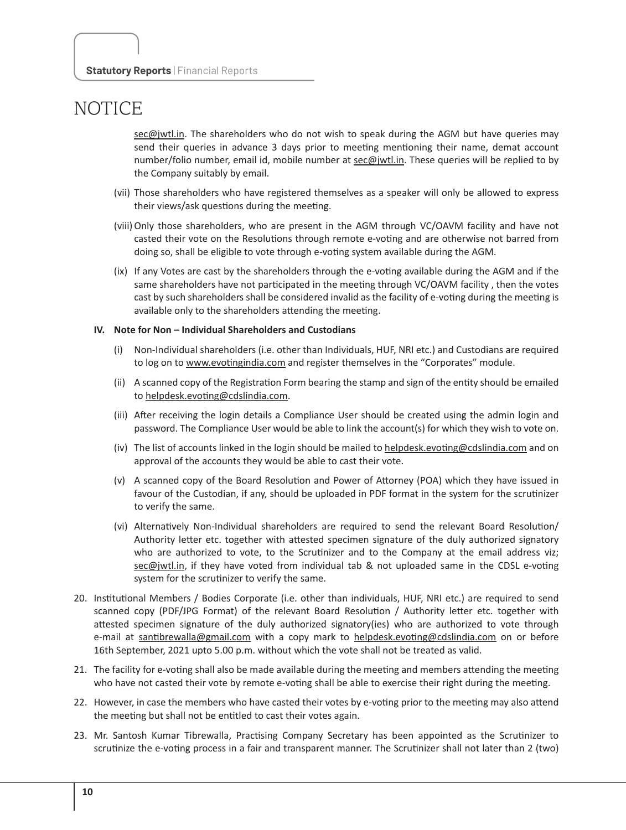sec@jwtl.in. The shareholders who do not wish to speak during the AGM but have queries may send their queries in advance 3 days prior to meeting mentioning their name, demat account number/folio number, email id, mobile number at sec@jwtl.in. These queries will be replied to by the Company suitably by email.

- (vii) Those shareholders who have registered themselves as a speaker will only be allowed to express their views/ask questions during the meeting.
- (viii)Only those shareholders, who are present in the AGM through VC/OAVM facility and have not casted their vote on the Resolutions through remote e-voting and are otherwise not barred from doing so, shall be eligible to vote through e-voting system available during the AGM.
- (ix) If any Votes are cast by the shareholders through the e-voting available during the AGM and if the same shareholders have not participated in the meeting through VC/OAVM facility , then the votes cast by such shareholders shall be considered invalid as the facility of e-voting during the meeting is available only to the shareholders attending the meeting.

#### **IV. Note for Non – Individual Shareholders and Custodians**

- (i) Non-Individual shareholders (i.e. other than Individuals, HUF, NRI etc.) and Custodians are required to log on to www.evotingindia.com and register themselves in the "Corporates" module.
- (ii) A scanned copy of the Registration Form bearing the stamp and sign of the entity should be emailed to helpdesk.evoting@cdslindia.com.
- (iii) After receiving the login details a Compliance User should be created using the admin login and password. The Compliance User would be able to link the account(s) for which they wish to vote on.
- (iv) The list of accounts linked in the login should be mailed to helpdesk.evoting@cdslindia.com and on approval of the accounts they would be able to cast their vote.
- (v) A scanned copy of the Board Resolution and Power of Attorney (POA) which they have issued in favour of the Custodian, if any, should be uploaded in PDF format in the system for the scrutinizer to verify the same.
- (vi) Alternatively Non-Individual shareholders are required to send the relevant Board Resolution/ Authority letter etc. together with attested specimen signature of the duly authorized signatory who are authorized to vote, to the Scrutinizer and to the Company at the email address viz; sec@jwtl.in, if they have voted from individual tab & not uploaded same in the CDSL e-voting system for the scrutinizer to verify the same.
- 20. Institutional Members / Bodies Corporate (i.e. other than individuals, HUF, NRI etc.) are required to send scanned copy (PDF/JPG Format) of the relevant Board Resolution / Authority letter etc. together with attested specimen signature of the duly authorized signatory(ies) who are authorized to vote through e-mail at santibrewalla@gmail.com with a copy mark to helpdesk.evoting@cdslindia.com on or before 16th September, 2021 upto 5.00 p.m. without which the vote shall not be treated as valid.
- 21. The facility for e-voting shall also be made available during the meeting and members attending the meeting who have not casted their vote by remote e-voting shall be able to exercise their right during the meeting.
- 22. However, in case the members who have casted their votes by e-voting prior to the meeting may also attend the meeting but shall not be entitled to cast their votes again.
- 23. Mr. Santosh Kumar Tibrewalla, Practising Company Secretary has been appointed as the Scrutinizer to scrutinize the e-voting process in a fair and transparent manner. The Scrutinizer shall not later than 2 (two)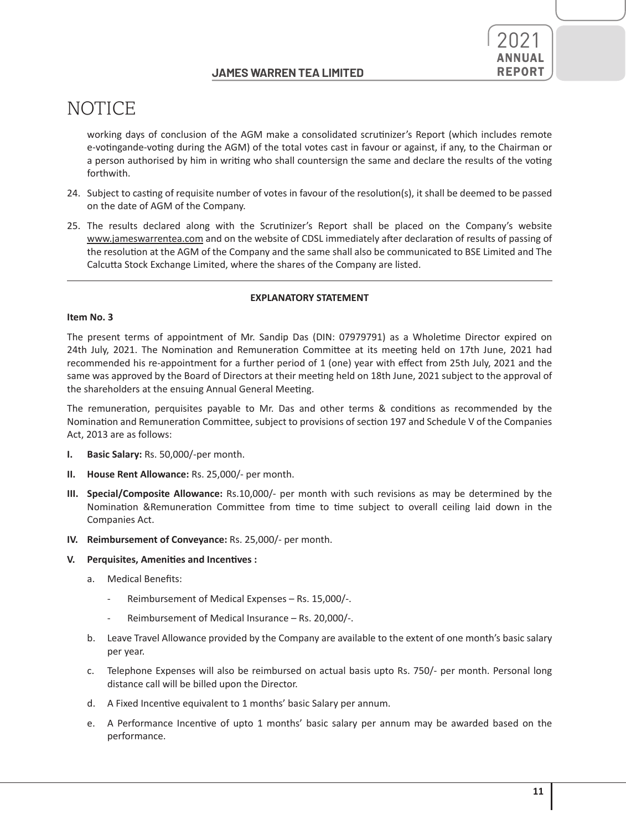

working days of conclusion of the AGM make a consolidated scrutinizer's Report (which includes remote e-votingande-voting during the AGM) of the total votes cast in favour or against, if any, to the Chairman or a person authorised by him in writing who shall countersign the same and declare the results of the voting forthwith.

- 24. Subject to casting of requisite number of votes in favour of the resolution(s), it shall be deemed to be passed on the date of AGM of the Company.
- 25. The results declared along with the Scrutinizer's Report shall be placed on the Company's website www.jameswarrentea.com and on the website of CDSL immediately after declaration of results of passing of the resolution at the AGM of the Company and the same shall also be communicated to BSE Limited and The Calcutta Stock Exchange Limited, where the shares of the Company are listed.

#### **EXPLANATORY STATEMENT**

#### **Item No. 3**

The present terms of appointment of Mr. Sandip Das (DIN: 07979791) as a Wholetime Director expired on 24th July, 2021. The Nomination and Remuneration Committee at its meeting held on 17th June, 2021 had recommended his re-appointment for a further period of 1 (one) year with effect from 25th July, 2021 and the same was approved by the Board of Directors at their meeting held on 18th June, 2021 subject to the approval of the shareholders at the ensuing Annual General Meeting.

The remuneration, perquisites payable to Mr. Das and other terms & conditions as recommended by the Nomination and Remuneration Committee, subject to provisions of section 197 and Schedule V of the Companies Act, 2013 are as follows:

- **I. Basic Salary:** Rs. 50,000/-per month.
- **II. House Rent Allowance:** Rs. 25,000/- per month.
- **III. Special/Composite Allowance:** Rs.10,000/- per month with such revisions as may be determined by the Nomination &Remuneration Committee from time to time subject to overall ceiling laid down in the Companies Act.
- **IV. Reimbursement of Conveyance:** Rs. 25,000/- per month.

#### **V. Perquisites, Amenities and Incentives :**

- a. Medical Benefits:
	- Reimbursement of Medical Expenses Rs. 15,000/-.
	- Reimbursement of Medical Insurance Rs. 20,000/-.
- b. Leave Travel Allowance provided by the Company are available to the extent of one month's basic salary per year.
- c. Telephone Expenses will also be reimbursed on actual basis upto Rs. 750/- per month. Personal long distance call will be billed upon the Director.
- d. A Fixed Incentive equivalent to 1 months' basic Salary per annum.
- e. A Performance Incentive of upto 1 months' basic salary per annum may be awarded based on the performance.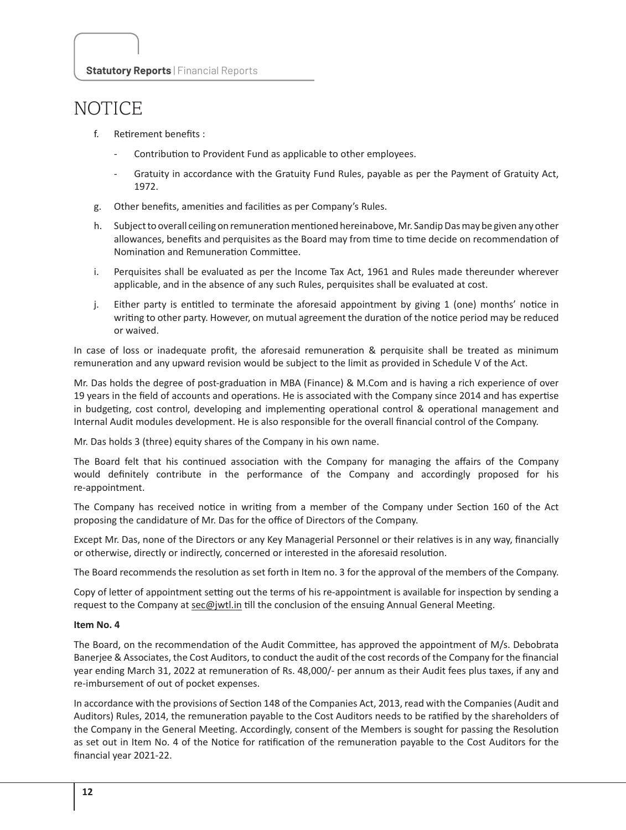- f. Retirement benefits :
	- Contribution to Provident Fund as applicable to other employees.
	- Gratuity in accordance with the Gratuity Fund Rules, payable as per the Payment of Gratuity Act, 1972.
- g. Other benefits, amenities and facilities as per Company's Rules.
- h. Subject to overall ceiling on remuneration mentioned hereinabove, Mr. Sandip Das may be given any other allowances, benefits and perquisites as the Board may from time to time decide on recommendation of Nomination and Remuneration Committee.
- i. Perquisites shall be evaluated as per the Income Tax Act, 1961 and Rules made thereunder wherever applicable, and in the absence of any such Rules, perquisites shall be evaluated at cost.
- j. Either party is entitled to terminate the aforesaid appointment by giving 1 (one) months' notice in writing to other party. However, on mutual agreement the duration of the notice period may be reduced or waived.

In case of loss or inadequate profit, the aforesaid remuneration & perquisite shall be treated as minimum remuneration and any upward revision would be subject to the limit as provided in Schedule V of the Act.

Mr. Das holds the degree of post-graduation in MBA (Finance) & M.Com and is having a rich experience of over 19 years in the field of accounts and operations. He is associated with the Company since 2014 and has expertise in budgeting, cost control, developing and implementing operational control & operational management and Internal Audit modules development. He is also responsible for the overall financial control of the Company.

Mr. Das holds 3 (three) equity shares of the Company in his own name.

The Board felt that his continued association with the Company for managing the affairs of the Company would definitely contribute in the performance of the Company and accordingly proposed for his re-appointment.

The Company has received notice in writing from a member of the Company under Section 160 of the Act proposing the candidature of Mr. Das for the office of Directors of the Company.

Except Mr. Das, none of the Directors or any Key Managerial Personnel or their relatives is in any way, financially or otherwise, directly or indirectly, concerned or interested in the aforesaid resolution.

The Board recommends the resolution as set forth in Item no. 3 for the approval of the members of the Company.

Copy of letter of appointment setting out the terms of his re-appointment is available for inspection by sending a request to the Company at sec@jwtl.in till the conclusion of the ensuing Annual General Meeting.

#### **Item No. 4**

The Board, on the recommendation of the Audit Committee, has approved the appointment of M/s. Debobrata Banerjee & Associates, the Cost Auditors, to conduct the audit of the cost records of the Company for the financial year ending March 31, 2022 at remuneration of Rs. 48,000/- per annum as their Audit fees plus taxes, if any and re-imbursement of out of pocket expenses.

In accordance with the provisions of Section 148 of the Companies Act, 2013, read with the Companies (Audit and Auditors) Rules, 2014, the remuneration payable to the Cost Auditors needs to be ratified by the shareholders of the Company in the General Meeting. Accordingly, consent of the Members is sought for passing the Resolution as set out in Item No. 4 of the Notice for ratification of the remuneration payable to the Cost Auditors for the financial year 2021-22.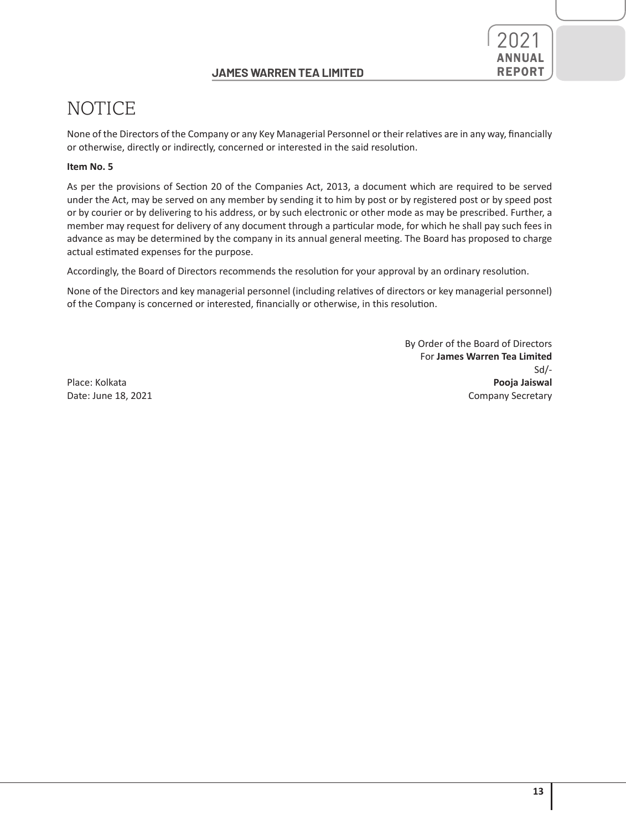### **JAMES WARREN TEA LIMITED REPORT**



# NOTICE

None of the Directors of the Company or any Key Managerial Personnel or their relatives are in any way, financially or otherwise, directly or indirectly, concerned or interested in the said resolution.

### **Item No. 5**

As per the provisions of Section 20 of the Companies Act, 2013, a document which are required to be served under the Act, may be served on any member by sending it to him by post or by registered post or by speed post or by courier or by delivering to his address, or by such electronic or other mode as may be prescribed. Further, a member may request for delivery of any document through a particular mode, for which he shall pay such fees in advance as may be determined by the company in its annual general meeting. The Board has proposed to charge actual estimated expenses for the purpose.

Accordingly, the Board of Directors recommends the resolution for your approval by an ordinary resolution.

None of the Directors and key managerial personnel (including relatives of directors or key managerial personnel) of the Company is concerned or interested, financially or otherwise, in this resolution.

By Order of the Board of Directors For **James Warren Tea Limited**  $S$ d/ $-S$ d/ $\overline{S}$ d/ $\overline{S}$ d/ $\overline{S}$ d/ $\overline{S}$ d/ $\overline{S}$ d/ $\overline{S}$ d/ $\overline{S}$ d/ $\overline{S}$ d/ $\overline{S}$ d/ $\overline{S}$ d/ $\overline{S}$ d/ $\overline{S}$ d/ $\overline{S}$ d/ $\overline{S}$ d/ $\overline{S}$ d/ $\overline{S}$ d/ $\overline{S}$ d/ $\overline{S}$ d/ $\overline{S}$ d/ $\overline{S}$ d/ $\overline{S}$ d/Place: Kolkata **Pooja Jaiswal** Date: June 18, 2021 Company Secretary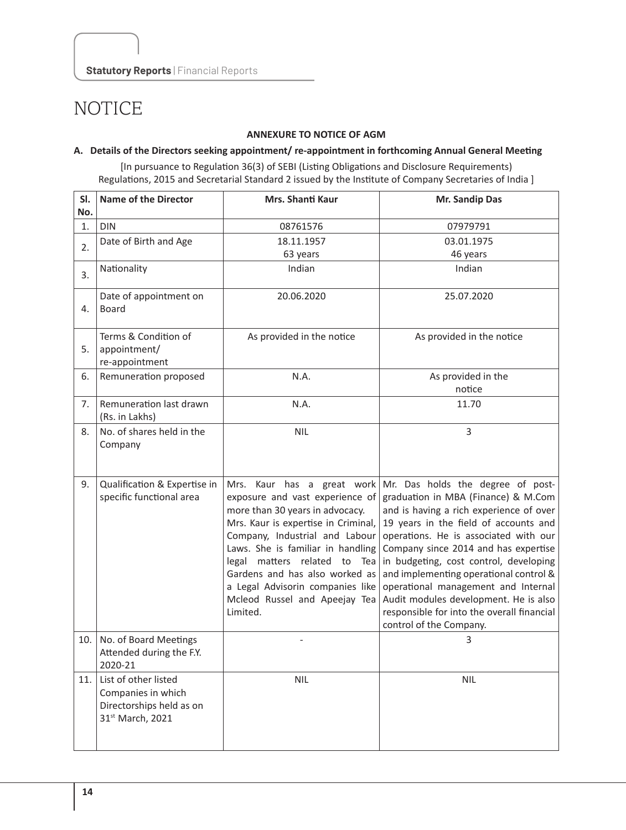### **ANNEXURE TO NOTICE OF AGM**

#### **A. Details of the Directors seeking appointment/ re-appointment in forthcoming Annual General Meeting**

[In pursuance to Regulation 36(3) of SEBI (Listing Obligations and Disclosure Requirements) Regulations, 2015 and Secretarial Standard 2 issued by the Institute of Company Secretaries of India ]

| SI.<br>No. | <b>Name of the Director</b>                                                                | <b>Mrs. Shanti Kaur</b>                                                                                                                                                                                                                                                                                                                                           | Mr. Sandip Das                                                                                                                                                                                                                                                                                                                                                                                                                                                                             |
|------------|--------------------------------------------------------------------------------------------|-------------------------------------------------------------------------------------------------------------------------------------------------------------------------------------------------------------------------------------------------------------------------------------------------------------------------------------------------------------------|--------------------------------------------------------------------------------------------------------------------------------------------------------------------------------------------------------------------------------------------------------------------------------------------------------------------------------------------------------------------------------------------------------------------------------------------------------------------------------------------|
| 1.         | <b>DIN</b>                                                                                 | 08761576                                                                                                                                                                                                                                                                                                                                                          | 07979791                                                                                                                                                                                                                                                                                                                                                                                                                                                                                   |
| 2.         | Date of Birth and Age                                                                      | 18.11.1957<br>63 years                                                                                                                                                                                                                                                                                                                                            | 03.01.1975<br>46 years                                                                                                                                                                                                                                                                                                                                                                                                                                                                     |
| 3.         | Nationality                                                                                | Indian                                                                                                                                                                                                                                                                                                                                                            | Indian                                                                                                                                                                                                                                                                                                                                                                                                                                                                                     |
| 4.         | Date of appointment on<br><b>Board</b>                                                     | 20.06.2020                                                                                                                                                                                                                                                                                                                                                        | 25.07.2020                                                                                                                                                                                                                                                                                                                                                                                                                                                                                 |
| 5.         | Terms & Condition of<br>appointment/<br>re-appointment                                     | As provided in the notice                                                                                                                                                                                                                                                                                                                                         | As provided in the notice                                                                                                                                                                                                                                                                                                                                                                                                                                                                  |
| 6.         | Remuneration proposed                                                                      | N.A.                                                                                                                                                                                                                                                                                                                                                              | As provided in the<br>notice                                                                                                                                                                                                                                                                                                                                                                                                                                                               |
| 7.         | Remuneration last drawn<br>(Rs. in Lakhs)                                                  | N.A.                                                                                                                                                                                                                                                                                                                                                              | 11.70                                                                                                                                                                                                                                                                                                                                                                                                                                                                                      |
| 8.         | No. of shares held in the<br>Company                                                       | <b>NIL</b>                                                                                                                                                                                                                                                                                                                                                        | 3                                                                                                                                                                                                                                                                                                                                                                                                                                                                                          |
| 9.         | Qualification & Expertise in<br>specific functional area                                   | Mrs. Kaur has a great work<br>exposure and vast experience of<br>more than 30 years in advocacy.<br>Mrs. Kaur is expertise in Criminal,<br>Company, Industrial and Labour<br>Laws. She is familiar in handling<br>legal matters related to Tea<br>Gardens and has also worked as<br>a Legal Advisorin companies like<br>Mcleod Russel and Apeejay Tea<br>Limited. | Mr. Das holds the degree of post-<br>graduation in MBA (Finance) & M.Com<br>and is having a rich experience of over<br>19 years in the field of accounts and<br>operations. He is associated with our<br>Company since 2014 and has expertise<br>in budgeting, cost control, developing<br>and implementing operational control &<br>operational management and Internal<br>Audit modules development. He is also<br>responsible for into the overall financial<br>control of the Company. |
| 10.        | No. of Board Meetings<br>Attended during the F.Y.<br>2020-21                               |                                                                                                                                                                                                                                                                                                                                                                   | 3                                                                                                                                                                                                                                                                                                                                                                                                                                                                                          |
| 11.        | List of other listed<br>Companies in which<br>Directorships held as on<br>31st March, 2021 | <b>NIL</b>                                                                                                                                                                                                                                                                                                                                                        | <b>NIL</b>                                                                                                                                                                                                                                                                                                                                                                                                                                                                                 |